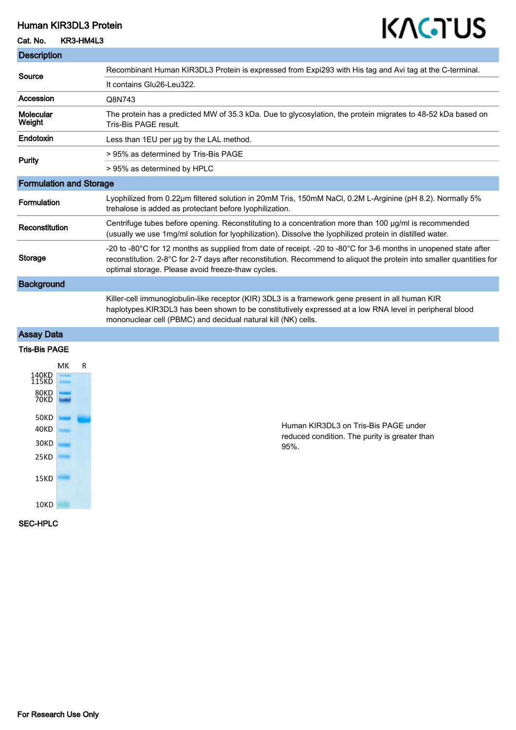### Human KIR3DL3 Protein

# KAGTUS

| Cat. No.                                                                      | KR3-HM4L3 | ,, , , , , ,                                                                                                                                                                                                                                                                                   |
|-------------------------------------------------------------------------------|-----------|------------------------------------------------------------------------------------------------------------------------------------------------------------------------------------------------------------------------------------------------------------------------------------------------|
| <b>Description</b>                                                            |           |                                                                                                                                                                                                                                                                                                |
| Source                                                                        |           | Recombinant Human KIR3DL3 Protein is expressed from Expi293 with His tag and Avi tag at the C-terminal.                                                                                                                                                                                        |
|                                                                               |           | It contains Glu26-Leu322.                                                                                                                                                                                                                                                                      |
| Accession                                                                     |           | Q8N743                                                                                                                                                                                                                                                                                         |
| <b>Molecular</b><br>Weight                                                    |           | The protein has a predicted MW of 35.3 kDa. Due to glycosylation, the protein migrates to 48-52 kDa based on<br>Tris-Bis PAGE result.                                                                                                                                                          |
| Endotoxin                                                                     |           | Less than 1EU per ug by the LAL method.                                                                                                                                                                                                                                                        |
| Purity                                                                        |           | > 95% as determined by Tris-Bis PAGE                                                                                                                                                                                                                                                           |
|                                                                               |           | > 95% as determined by HPLC                                                                                                                                                                                                                                                                    |
| <b>Formulation and Storage</b>                                                |           |                                                                                                                                                                                                                                                                                                |
| Formulation                                                                   |           | Lyophilized from 0.22µm filtered solution in 20mM Tris, 150mM NaCl, 0.2M L-Arginine (pH 8.2). Normally 5%<br>trehalose is added as protectant before lyophilization.                                                                                                                           |
| Reconstitution                                                                |           | Centrifuge tubes before opening. Reconstituting to a concentration more than 100 µg/ml is recommended<br>(usually we use 1mg/ml solution for lyophilization). Dissolve the lyophilized protein in distilled water.                                                                             |
| <b>Storage</b>                                                                |           | -20 to -80°C for 12 months as supplied from date of receipt. -20 to -80°C for 3-6 months in unopened state after<br>reconstitution. 2-8°C for 2-7 days after reconstitution. Recommend to aliquot the protein into smaller quantities for<br>optimal storage. Please avoid freeze-thaw cycles. |
| <b>Background</b>                                                             |           |                                                                                                                                                                                                                                                                                                |
|                                                                               |           | Killer-cell immunoglobulin-like receptor (KIR) 3DL3 is a framework gene present in all human KIR<br>haplotypes.KIR3DL3 has been shown to be constitutively expressed at a low RNA level in peripheral blood<br>mononuclear cell (PBMC) and decidual natural kill (NK) cells.                   |
| <b>Assay Data</b>                                                             |           |                                                                                                                                                                                                                                                                                                |
| <b>Tris-Bis PAGE</b>                                                          |           |                                                                                                                                                                                                                                                                                                |
| 140KD<br>115KD<br>80KD<br>70KD<br><b>50KD</b><br>40KD<br>30KD<br>25KD<br>15KD | МK<br>R   | Human KIR3DL3 on Tris-Bis PAGE under<br>reduced condition. The purity is greater than<br>95%.                                                                                                                                                                                                  |
| 10KD                                                                          |           |                                                                                                                                                                                                                                                                                                |

SEC-HPLC